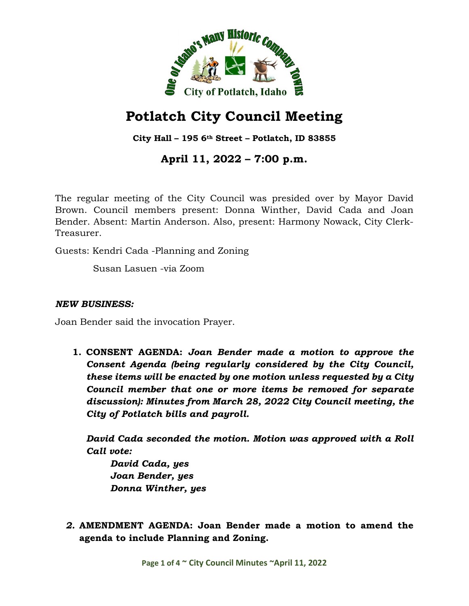

# **Potlatch City Council Meeting**

**City Hall – 195 6th Street – Potlatch, ID 83855**

## **April 11, 2022 – 7:00 p.m.**

The regular meeting of the City Council was presided over by Mayor David Brown. Council members present: Donna Winther, David Cada and Joan Bender. Absent: Martin Anderson. Also, present: Harmony Nowack, City Clerk-Treasurer.

Guests: Kendri Cada -Planning and Zoning

Susan Lasuen -via Zoom

### *NEW BUSINESS:*

Joan Bender said the invocation Prayer.

**1. CONSENT AGENDA:** *Joan Bender made a motion to approve the Consent Agenda (being regularly considered by the City Council, these items will be enacted by one motion unless requested by a City Council member that one or more items be removed for separate discussion): Minutes from March 28, 2022 City Council meeting, the City of Potlatch bills and payroll.*

*David Cada seconded the motion. Motion was approved with a Roll Call vote:*

*David Cada, yes Joan Bender, yes Donna Winther, yes*

*2.* **AMENDMENT AGENDA: Joan Bender made a motion to amend the agenda to include Planning and Zoning.**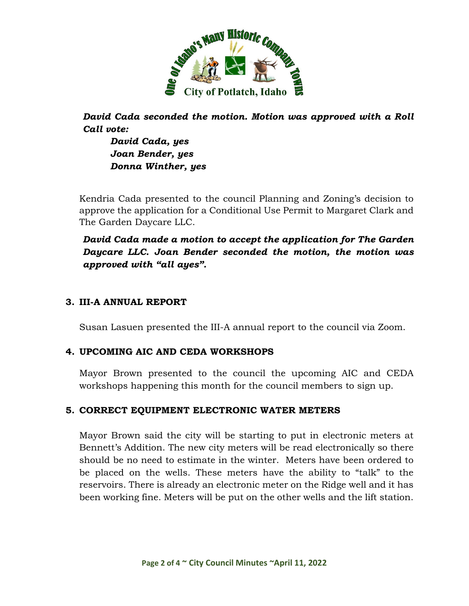

*David Cada seconded the motion. Motion was approved with a Roll Call vote:*

*David Cada, yes Joan Bender, yes Donna Winther, yes*

Kendria Cada presented to the council Planning and Zoning's decision to approve the application for a Conditional Use Permit to Margaret Clark and The Garden Daycare LLC.

*David Cada made a motion to accept the application for The Garden Daycare LLC. Joan Bender seconded the motion, the motion was approved with "all ayes".*

#### **3. III-A ANNUAL REPORT**

Susan Lasuen presented the III-A annual report to the council via Zoom.

### **4. UPCOMING AIC AND CEDA WORKSHOPS**

Mayor Brown presented to the council the upcoming AIC and CEDA workshops happening this month for the council members to sign up.

### **5. CORRECT EQUIPMENT ELECTRONIC WATER METERS**

Mayor Brown said the city will be starting to put in electronic meters at Bennett's Addition. The new city meters will be read electronically so there should be no need to estimate in the winter. Meters have been ordered to be placed on the wells. These meters have the ability to "talk" to the reservoirs. There is already an electronic meter on the Ridge well and it has been working fine. Meters will be put on the other wells and the lift station.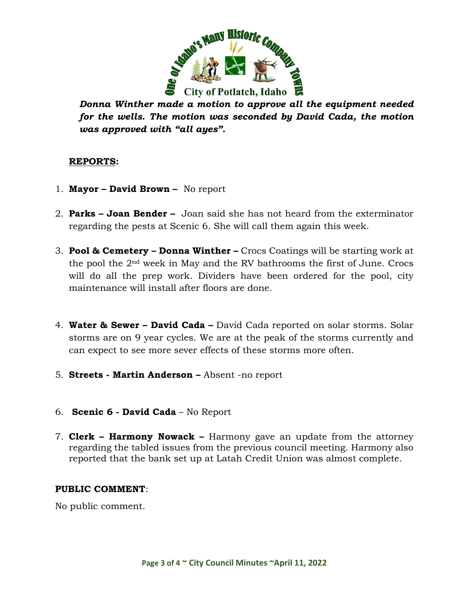

*Donna Winther made a motion to approve all the equipment needed for the wells. The motion was seconded by David Cada, the motion was approved with "all ayes".* 

#### **REPORTS:**

- 1. **Mayor David Brown** No report
- 2. **Parks Joan Bender** Joan said she has not heard from the exterminator regarding the pests at Scenic 6. She will call them again this week.
- 3. **Pool & Cemetery Donna Winther –** Crocs Coatings will be starting work at the pool the 2nd week in May and the RV bathrooms the first of June. Crocs will do all the prep work. Dividers have been ordered for the pool, city maintenance will install after floors are done.
- 4. **Water & Sewer David Cada –** David Cada reported on solar storms. Solar storms are on 9 year cycles. We are at the peak of the storms currently and can expect to see more sever effects of these storms more often.
- 5. **Streets Martin Anderson** Absent -no report
- 6. **Scenic 6 David Cada** No Report
- 7. **Clerk Harmony Nowack –** Harmony gave an update from the attorney regarding the tabled issues from the previous council meeting. Harmony also reported that the bank set up at Latah Credit Union was almost complete.

#### **PUBLIC COMMENT**:

No public comment.